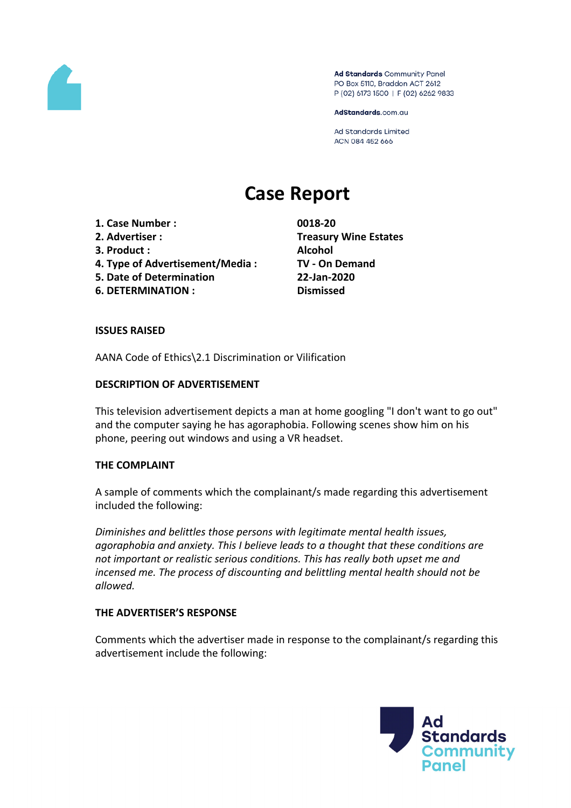

Ad Standards Community Panel PO Box 5110, Braddon ACT 2612 P (02) 6173 1500 | F (02) 6262 9833

AdStandards.com.au

Ad Standards Limited ACN 084 452 666

# **Case Report**

- **1. Case Number : 0018-20**
- 
- **3. Product : Alcohol**
- **4. Type of Advertisement/Media : TV - On Demand**
- **5. Date of Determination 22-Jan-2020**
- **6. DETERMINATION : Dismissed**

**2. Advertiser : Treasury Wine Estates**

### **ISSUES RAISED**

AANA Code of Ethics\2.1 Discrimination or Vilification

### **DESCRIPTION OF ADVERTISEMENT**

This television advertisement depicts a man at home googling "I don't want to go out" and the computer saying he has agoraphobia. Following scenes show him on his phone, peering out windows and using a VR headset.

# **THE COMPLAINT**

A sample of comments which the complainant/s made regarding this advertisement included the following:

*Diminishes and belittles those persons with legitimate mental health issues, agoraphobia and anxiety. This I believe leads to a thought that these conditions are not important or realistic serious conditions. This has really both upset me and incensed me. The process of discounting and belittling mental health should not be allowed.*

#### **THE ADVERTISER'S RESPONSE**

Comments which the advertiser made in response to the complainant/s regarding this advertisement include the following:

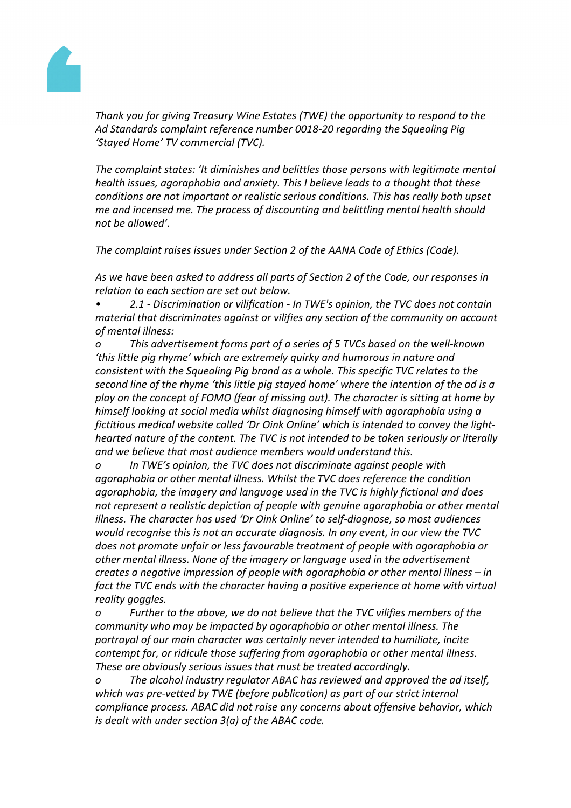

*Thank you for giving Treasury Wine Estates (TWE) the opportunity to respond to the Ad Standards complaint reference number 0018-20 regarding the Squealing Pig 'Stayed Home' TV commercial (TVC).*

*The complaint states: 'It diminishes and belittles those persons with legitimate mental health issues, agoraphobia and anxiety. This I believe leads to a thought that these conditions are not important or realistic serious conditions. This has really both upset me and incensed me. The process of discounting and belittling mental health should not be allowed'.*

*The complaint raises issues under Section 2 of the AANA Code of Ethics (Code).*

*As we have been asked to address all parts of Section 2 of the Code, our responses in relation to each section are set out below.*

*• 2.1 - Discrimination or vilification - In TWE's opinion, the TVC does not contain material that discriminates against or vilifies any section of the community on account of mental illness:*

*o This advertisement forms part of a series of 5 TVCs based on the well-known 'this little pig rhyme' which are extremely quirky and humorous in nature and consistent with the Squealing Pig brand as a whole. This specific TVC relates to the second line of the rhyme 'this little pig stayed home' where the intention of the ad is a play on the concept of FOMO (fear of missing out). The character is sitting at home by himself looking at social media whilst diagnosing himself with agoraphobia using a fictitious medical website called 'Dr Oink Online' which is intended to convey the lighthearted nature of the content. The TVC is not intended to be taken seriously or literally and we believe that most audience members would understand this.*

*o In TWE's opinion, the TVC does not discriminate against people with agoraphobia or other mental illness. Whilst the TVC does reference the condition agoraphobia, the imagery and language used in the TVC is highly fictional and does not represent a realistic depiction of people with genuine agoraphobia or other mental illness. The character has used 'Dr Oink Online' to self-diagnose, so most audiences would recognise this is not an accurate diagnosis. In any event, in our view the TVC does not promote unfair or less favourable treatment of people with agoraphobia or other mental illness. None of the imagery or language used in the advertisement creates a negative impression of people with agoraphobia or other mental illness – in fact the TVC ends with the character having a positive experience at home with virtual reality goggles.*

*o Further to the above, we do not believe that the TVC vilifies members of the community who may be impacted by agoraphobia or other mental illness. The portrayal of our main character was certainly never intended to humiliate, incite contempt for, or ridicule those suffering from agoraphobia or other mental illness. These are obviously serious issues that must be treated accordingly.*

*o The alcohol industry regulator ABAC has reviewed and approved the ad itself, which was pre-vetted by TWE (before publication) as part of our strict internal compliance process. ABAC did not raise any concerns about offensive behavior, which is dealt with under section 3(a) of the ABAC code.*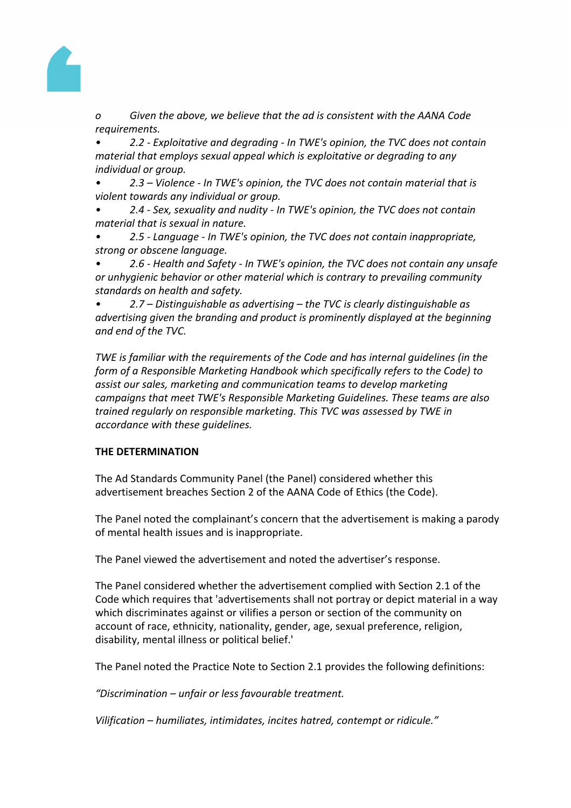

*o Given the above, we believe that the ad is consistent with the AANA Code requirements.*

*• 2.2 - Exploitative and degrading - In TWE's opinion, the TVC does not contain material that employs sexual appeal which is exploitative or degrading to any individual or group.*

*• 2.3 – Violence - In TWE's opinion, the TVC does not contain material that is violent towards any individual or group.*

*• 2.4 - Sex, sexuality and nudity - In TWE's opinion, the TVC does not contain material that is sexual in nature.*

*• 2.5 - Language - In TWE's opinion, the TVC does not contain inappropriate, strong or obscene language.*

*• 2.6 - Health and Safety - In TWE's opinion, the TVC does not contain any unsafe or unhygienic behavior or other material which is contrary to prevailing community standards on health and safety.*

*• 2.7 – Distinguishable as advertising – the TVC is clearly distinguishable as advertising given the branding and product is prominently displayed at the beginning and end of the TVC.*

*TWE is familiar with the requirements of the Code and has internal guidelines (in the form of a Responsible Marketing Handbook which specifically refers to the Code) to assist our sales, marketing and communication teams to develop marketing campaigns that meet TWE's Responsible Marketing Guidelines. These teams are also trained regularly on responsible marketing. This TVC was assessed by TWE in accordance with these guidelines.*

# **THE DETERMINATION**

The Ad Standards Community Panel (the Panel) considered whether this advertisement breaches Section 2 of the AANA Code of Ethics (the Code).

The Panel noted the complainant's concern that the advertisement is making a parody of mental health issues and is inappropriate.

The Panel viewed the advertisement and noted the advertiser's response.

The Panel considered whether the advertisement complied with Section 2.1 of the Code which requires that 'advertisements shall not portray or depict material in a way which discriminates against or vilifies a person or section of the community on account of race, ethnicity, nationality, gender, age, sexual preference, religion, disability, mental illness or political belief.'

The Panel noted the Practice Note to Section 2.1 provides the following definitions:

*"Discrimination – unfair or less favourable treatment.*

*Vilification – humiliates, intimidates, incites hatred, contempt or ridicule."*